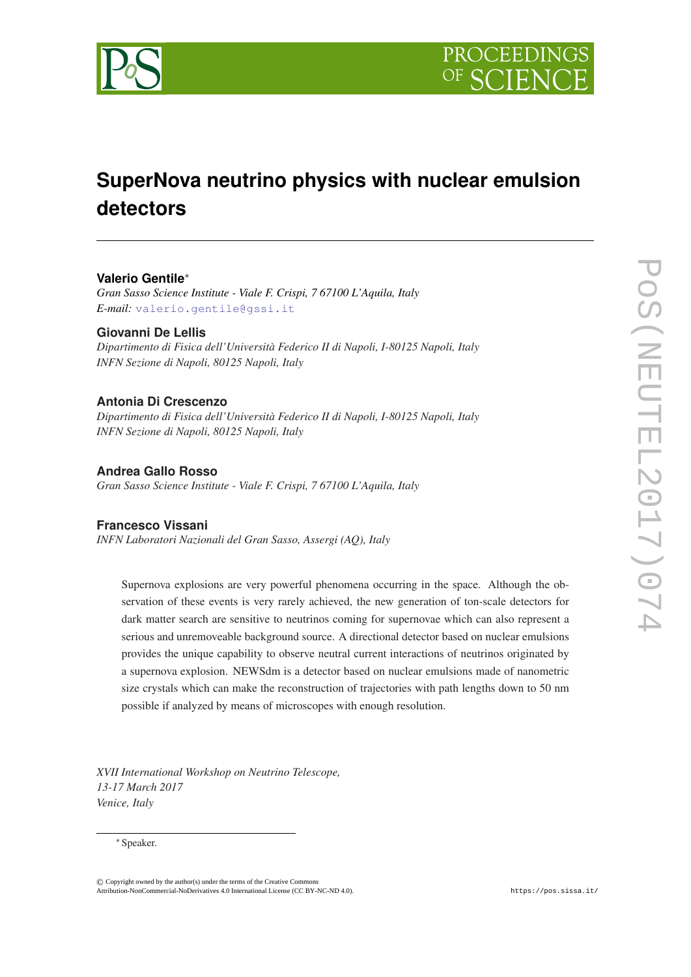

# **SuperNova neutrino physics with nuclear emulsion detectors**

## **Valerio Gentile**<sup>∗</sup>

*Gran Sasso Science Institute - Viale F. Crispi, 7 67100 L'Aquila, Italy E-mail:* [valerio.gentile@gssi.it](mailto:valerio.gentile@gssi.it)

## **Giovanni De Lellis**

*Dipartimento di Fisica dell'Università Federico II di Napoli, I-80125 Napoli, Italy INFN Sezione di Napoli, 80125 Napoli, Italy*

## **Antonia Di Crescenzo**

*Dipartimento di Fisica dell'Università Federico II di Napoli, I-80125 Napoli, Italy INFN Sezione di Napoli, 80125 Napoli, Italy*

## **Andrea Gallo Rosso**

*Gran Sasso Science Institute - Viale F. Crispi, 7 67100 L'Aquila, Italy*

## **Francesco Vissani**

*INFN Laboratori Nazionali del Gran Sasso, Assergi (AQ), Italy*

Supernova explosions are very powerful phenomena occurring in the space. Although the observation of these events is very rarely achieved, the new generation of ton-scale detectors for dark matter search are sensitive to neutrinos coming for supernovae which can also represent a serious and unremoveable background source. A directional detector based on nuclear emulsions provides the unique capability to observe neutral current interactions of neutrinos originated by a supernova explosion. NEWSdm is a detector based on nuclear emulsions made of nanometric size crystals which can make the reconstruction of trajectories with path lengths down to 50 nm possible if analyzed by means of microscopes with enough resolution.

*XVII International Workshop on Neutrino Telescope, 13-17 March 2017 Venice, Italy*

#### ∗Speaker.

© Copyright owned by the author(s) under the terms of the Creative Commons Attribution-NonCommercial-NoDerivatives 4.0 International License (CC BY-NC-ND 4.0). https://pos.sissa.it/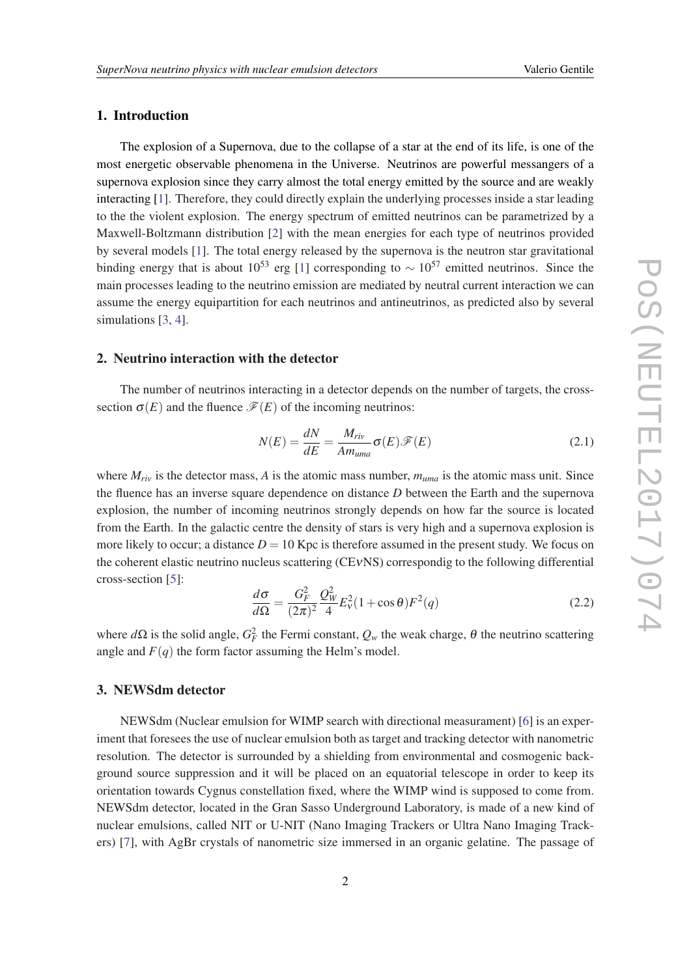## <span id="page-1-0"></span>1. Introduction

The explosion of a Supernova, due to the collapse of a star at the end of its life, is one of the most energetic observable phenomena in the Universe. Neutrinos are powerful messangers of a supernova explosion since they carry almost the total energy emitted by the source and are weakly interacting [[1](#page-3-0)]. Therefore, they could directly explain the underlying processes inside a star leading to the the violent explosion. The energy spectrum of emitted neutrinos can be parametrized by a Maxwell-Boltzmann distribution [[2](#page-3-0)] with the mean energies for each type of neutrinos provided by several models [[1](#page-3-0)]. The total energy released by the supernova is the neutron star gravitational binding energy that is about [1](#page-3-0)0<sup>53</sup> erg [1] corresponding to  $\sim 10^{57}$  emitted neutrinos. Since the main processes leading to the neutrino emission are mediated by neutral current interaction we can assume the energy equipartition for each neutrinos and antineutrinos, as predicted also by several simulations [\[3](#page-3-0), [4](#page-3-0)].

#### 2. Neutrino interaction with the detector

The number of neutrinos interacting in a detector depends on the number of targets, the crosssection  $\sigma(E)$  and the fluence  $\mathscr{F}(E)$  of the incoming neutrinos:

$$
N(E) = \frac{dN}{dE} = \frac{M_{riv}}{Am_{uma}} \sigma(E) \mathcal{F}(E)
$$
\n(2.1)

where  $M_{riv}$  is the detector mass, A is the atomic mass number,  $m_{uma}$  is the atomic mass unit. Since the fluence has an inverse square dependence on distance *D* between the Earth and the supernova explosion, the number of incoming neutrinos strongly depends on how far the source is located from the Earth. In the galactic centre the density of stars is very high and a supernova explosion is more likely to occur; a distance  $D = 10$  Kpc is therefore assumed in the present study. We focus on the coherent elastic neutrino nucleus scattering (CEνNS) correspondig to the following differential cross-section [[5](#page-3-0)]:

$$
\frac{d\sigma}{d\Omega} = \frac{G_F^2}{(2\pi)^2} \frac{Q_W^2}{4} E_V^2 (1 + \cos\theta) F^2(q)
$$
\n(2.2)

where  $d\Omega$  is the solid angle,  $G_F^2$  the Fermi constant,  $Q_w$  the weak charge,  $\theta$  the neutrino scattering angle and  $F(q)$  the form factor assuming the Helm's model.

#### 3. NEWSdm detector

NEWSdm (Nuclear emulsion for WIMP search with directional measurament) [\[6\]](#page-3-0) is an experiment that foresees the use of nuclear emulsion both as target and tracking detector with nanometric resolution. The detector is surrounded by a shielding from environmental and cosmogenic background source suppression and it will be placed on an equatorial telescope in order to keep its orientation towards Cygnus constellation fixed, where the WIMP wind is supposed to come from. NEWSdm detector, located in the Gran Sasso Underground Laboratory, is made of a new kind of nuclear emulsions, called NIT or U-NIT (Nano Imaging Trackers or Ultra Nano Imaging Trackers) [[7](#page-3-0)], with AgBr crystals of nanometric size immersed in an organic gelatine. The passage of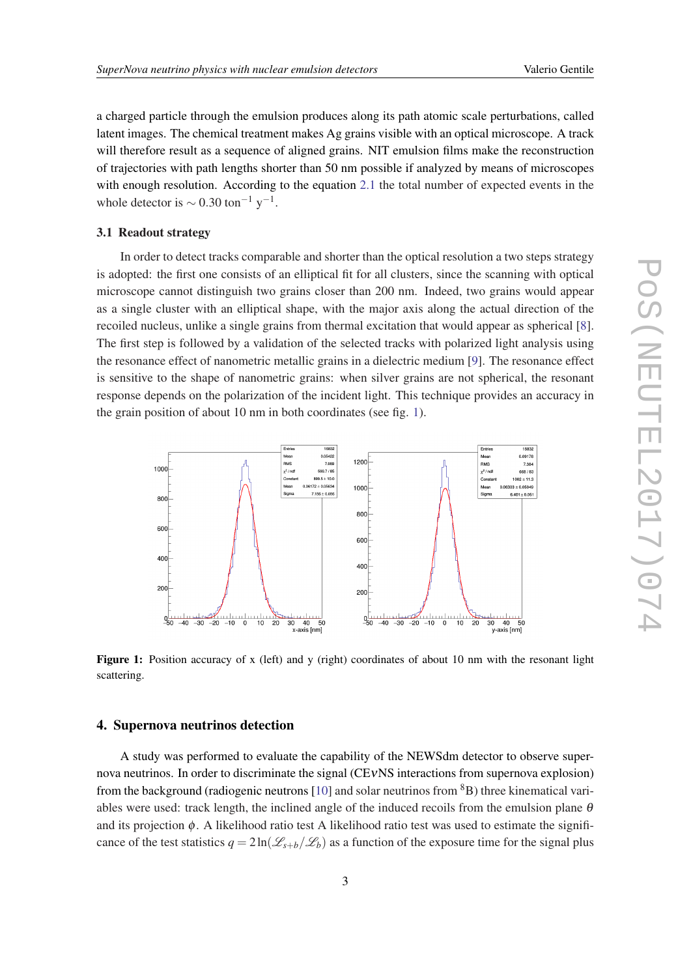a charged particle through the emulsion produces along its path atomic scale perturbations, called latent images. The chemical treatment makes Ag grains visible with an optical microscope. A track will therefore result as a sequence of aligned grains. NIT emulsion films make the reconstruction of trajectories with path lengths shorter than 50 nm possible if analyzed by means of microscopes with enough resolution. According to the equation [2.1](#page-1-0) the total number of expected events in the whole detector is  $\sim 0.30$  ton<sup>-1</sup> y<sup>-1</sup>.

#### 3.1 Readout strategy

In order to detect tracks comparable and shorter than the optical resolution a two steps strategy is adopted: the first one consists of an elliptical fit for all clusters, since the scanning with optical microscope cannot distinguish two grains closer than 200 nm. Indeed, two grains would appear as a single cluster with an elliptical shape, with the major axis along the actual direction of the recoiled nucleus, unlike a single grains from thermal excitation that would appear as spherical [\[8\]](#page-3-0). The first step is followed by a validation of the selected tracks with polarized light analysis using the resonance effect of nanometric metallic grains in a dielectric medium [\[9\]](#page-3-0). The resonance effect is sensitive to the shape of nanometric grains: when silver grains are not spherical, the resonant response depends on the polarization of the incident light. This technique provides an accuracy in the grain position of about 10 nm in both coordinates (see fig. 1).



Figure 1: Position accuracy of x (left) and y (right) coordinates of about 10 nm with the resonant light scattering.

#### 4. Supernova neutrinos detection

A study was performed to evaluate the capability of the NEWSdm detector to observe supernova neutrinos. In order to discriminate the signal (CEνNS interactions from supernova explosion) from the background (radiogenic neutrons [[10\]](#page-3-0) and solar neutrinos from  ${}^{8}B$ ) three kinematical variables were used: track length, the inclined angle of the induced recoils from the emulsion plane  $\theta$ and its projection  $\phi$ . A likelihood ratio test A likelihood ratio test was used to estimate the significance of the test statistics  $q = 2\ln(\mathcal{L}_{s+b}/\mathcal{L}_b)$  as a function of the exposure time for the signal plus